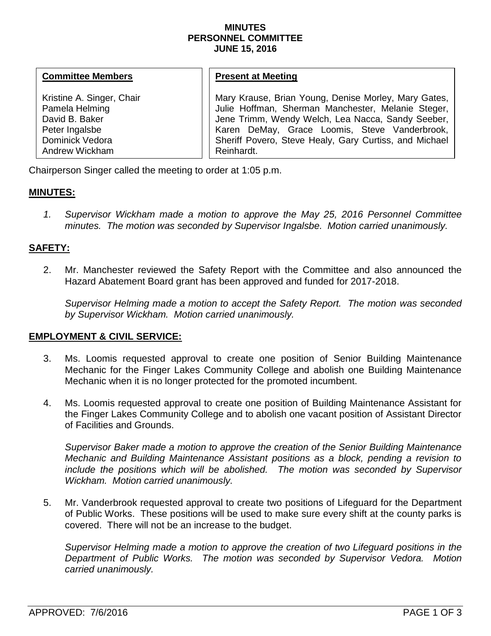#### **MINUTES PERSONNEL COMMITTEE JUNE 15, 2016**

#### **Committee Members**

Kristine A. Singer, Chair Pamela Helming David B. Baker Peter Ingalsbe Dominick Vedora Andrew Wickham

#### **Present at Meeting**

Mary Krause, Brian Young, Denise Morley, Mary Gates, Julie Hoffman, Sherman Manchester, Melanie Steger, Jene Trimm, Wendy Welch, Lea Nacca, Sandy Seeber, Karen DeMay, Grace Loomis, Steve Vanderbrook, Sheriff Povero, Steve Healy, Gary Curtiss, and Michael Reinhardt.

Chairperson Singer called the meeting to order at 1:05 p.m.

## **MINUTES:**

*1. Supervisor Wickham made a motion to approve the May 25, 2016 Personnel Committee minutes. The motion was seconded by Supervisor Ingalsbe. Motion carried unanimously.*

## **SAFETY:**

2. Mr. Manchester reviewed the Safety Report with the Committee and also announced the Hazard Abatement Board grant has been approved and funded for 2017-2018.

*Supervisor Helming made a motion to accept the Safety Report. The motion was seconded by Supervisor Wickham. Motion carried unanimously.* 

### **EMPLOYMENT & CIVIL SERVICE:**

- 3. Ms. Loomis requested approval to create one position of Senior Building Maintenance Mechanic for the Finger Lakes Community College and abolish one Building Maintenance Mechanic when it is no longer protected for the promoted incumbent.
- 4. Ms. Loomis requested approval to create one position of Building Maintenance Assistant for the Finger Lakes Community College and to abolish one vacant position of Assistant Director of Facilities and Grounds.

*Supervisor Baker made a motion to approve the creation of the Senior Building Maintenance Mechanic and Building Maintenance Assistant positions as a block, pending a revision to include the positions which will be abolished. The motion was seconded by Supervisor Wickham. Motion carried unanimously.* 

5. Mr. Vanderbrook requested approval to create two positions of Lifeguard for the Department of Public Works. These positions will be used to make sure every shift at the county parks is covered. There will not be an increase to the budget.

*Supervisor Helming made a motion to approve the creation of two Lifeguard positions in the Department of Public Works. The motion was seconded by Supervisor Vedora. Motion carried unanimously.*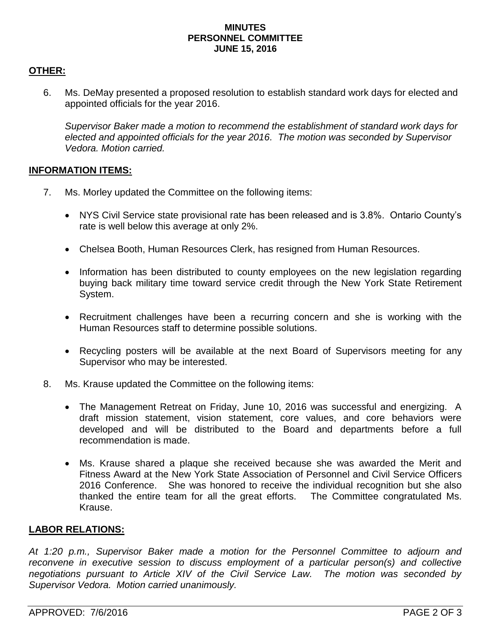#### **MINUTES PERSONNEL COMMITTEE JUNE 15, 2016**

# **OTHER:**

6. Ms. DeMay presented a proposed resolution to establish standard work days for elected and appointed officials for the year 2016.

*Supervisor Baker made a motion to recommend the establishment of standard work days for elected and appointed officials for the year 2016. The motion was seconded by Supervisor Vedora. Motion carried.*

## **INFORMATION ITEMS:**

- 7. Ms. Morley updated the Committee on the following items:
	- NYS Civil Service state provisional rate has been released and is 3.8%. Ontario County's rate is well below this average at only 2%.
	- Chelsea Booth, Human Resources Clerk, has resigned from Human Resources.
	- Information has been distributed to county employees on the new legislation regarding buying back military time toward service credit through the New York State Retirement System.
	- Recruitment challenges have been a recurring concern and she is working with the Human Resources staff to determine possible solutions.
	- Recycling posters will be available at the next Board of Supervisors meeting for any Supervisor who may be interested.
- 8. Ms. Krause updated the Committee on the following items:
	- The Management Retreat on Friday, June 10, 2016 was successful and energizing. A draft mission statement, vision statement, core values, and core behaviors were developed and will be distributed to the Board and departments before a full recommendation is made.
	- Ms. Krause shared a plaque she received because she was awarded the Merit and Fitness Award at the New York State Association of Personnel and Civil Service Officers 2016 Conference. She was honored to receive the individual recognition but she also thanked the entire team for all the great efforts. The Committee congratulated Ms. Krause.

# **LABOR RELATIONS:**

*At 1:20 p.m., Supervisor Baker made a motion for the Personnel Committee to adjourn and reconvene in executive session to discuss employment of a particular person(s) and collective negotiations pursuant to Article XIV of the Civil Service Law. The motion was seconded by Supervisor Vedora. Motion carried unanimously.*